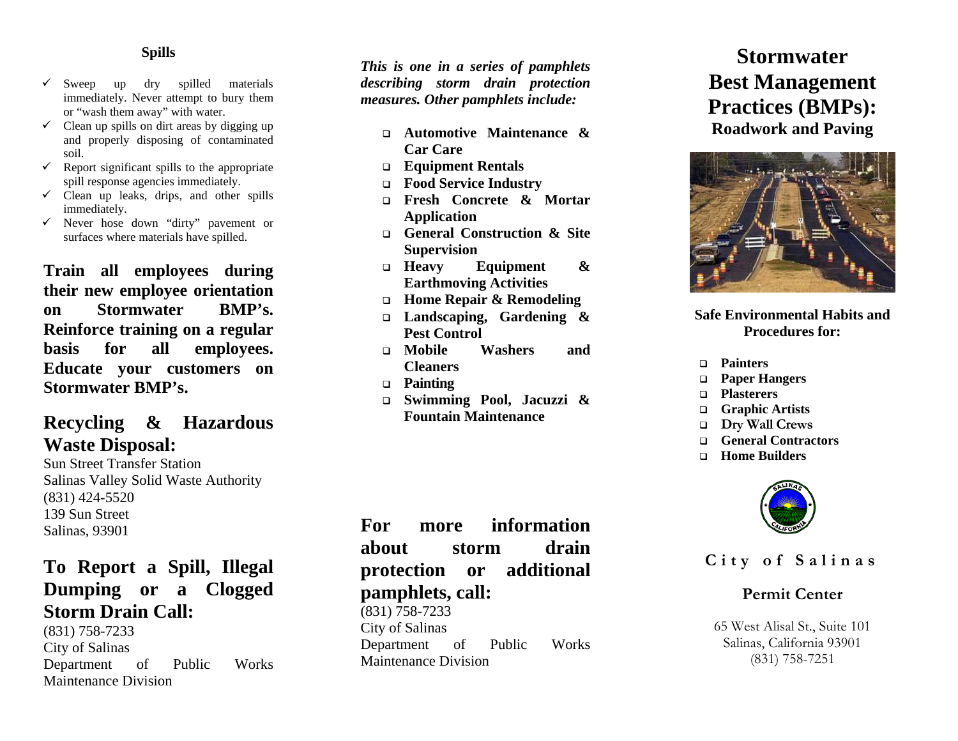#### **Spills**

- $\checkmark$  Sweep up dry spilled materials immediately. Never attempt to bury them or "wash them away" with water.
- $\checkmark$  Clean up spills on dirt areas by digging up and properly disposing of contaminated soil.
- $\checkmark$  Report significant spills to the appropriate spill response agencies immediately.
- $\checkmark$  Clean up leaks, drips, and other spills immediately.
- $\checkmark$  Never hose down "dirty" pavement or surfaces where materials have spilled.

**Train all employees during their new employee orientation on Stormwater BMP's. Reinforce training on a regular basis for all employees. Educate your customers on Stormwater BMP's.** 

## **Recycling & Hazardous Waste Disposal:**

Sun Street Transfer Station Salinas Valley Solid Waste Authority (831) 424-5520 139 Sun Street Salinas, 93901

## **To Report a Spill, Illegal Dumping or a Clogged Storm Drain Call:**

(831) 758-7233 City of Salinas Department of Public Works Maintenance Division

*This is one in a series of pamphlets describing storm drain protection measures. Other pamphlets include:*

- **Automotive Maintenance & Car Care**
- **Equipment Rentals**
- **Food Service Industry**
- **Fresh Concrete & Mortar Application**
- **General Construction & Site Supervision**
- **Heavy Equipment & Earthmoving Activities**
- **Home Repair & Remodeling**
- **Landscaping, Gardening & Pest Control**
- **Mobile Washers and Cleaners**
- **Painting**
- **Swimming Pool, Jacuzzi & Fountain Maintenance**

**For more information about storm drain protection or additional pamphlets, call:** 

(831) 758-7233 City of Salinas Department of Public Works Maintenance Division

# **Stormwater Best Management Practices (BMPs): Roadwork and Paving**



#### **Safe Environmental Habits and Procedures for:**

- **Painters**
- **Paper Hangers**
- **Plasterers**
- **Graphic Artists**
- **Dry Wall Crews**
- **General Contractors**
- **Home Builders**



## **City of Salinas**

### **Permit Center**

65 West Alisal St., Suite 101 Salinas, California 93901 (831) 758-7251